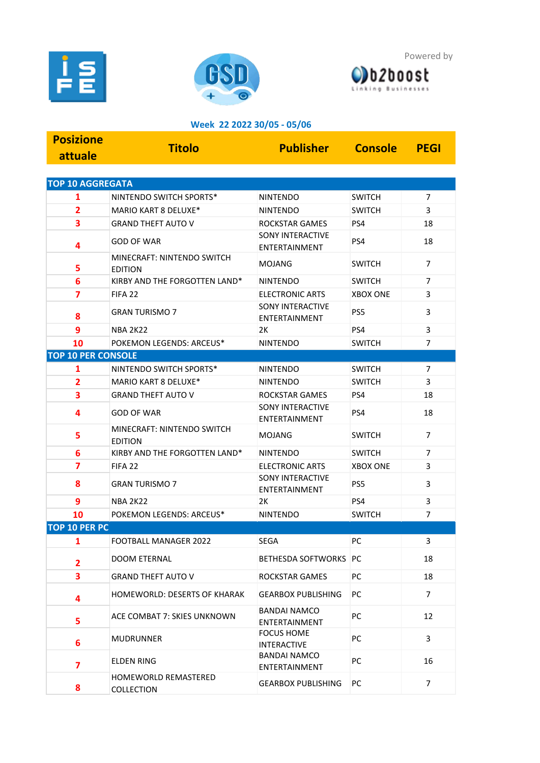





## **Week 22 2022 30/05 - 05/06**

| <b>Posizione</b>          | <b>Titolo</b>                                | <b>Publisher</b>                                | <b>Console</b>  | <b>PEGI</b>    |
|---------------------------|----------------------------------------------|-------------------------------------------------|-----------------|----------------|
| attuale                   |                                              |                                                 |                 |                |
|                           |                                              |                                                 |                 |                |
| <b>TOP 10 AGGREGATA</b>   |                                              |                                                 |                 |                |
| 1                         | NINTENDO SWITCH SPORTS*                      | <b>NINTENDO</b>                                 | <b>SWITCH</b>   | 7              |
| $\overline{2}$            | MARIO KART 8 DELUXE*                         | <b>NINTENDO</b>                                 | <b>SWITCH</b>   | 3              |
| 3                         | <b>GRAND THEFT AUTO V</b>                    | <b>ROCKSTAR GAMES</b>                           | PS4             | 18             |
| 4                         | <b>GOD OF WAR</b>                            | <b>SONY INTERACTIVE</b><br>ENTERTAINMENT        | PS4             | 18             |
| 5                         | MINECRAFT: NINTENDO SWITCH<br><b>EDITION</b> | MOJANG                                          | <b>SWITCH</b>   | $\overline{7}$ |
| 6                         | KIRBY AND THE FORGOTTEN LAND*                | NINTENDO                                        | <b>SWITCH</b>   | $\overline{7}$ |
| 7                         | FIFA <sub>22</sub>                           | <b>ELECTRONIC ARTS</b>                          | <b>XBOX ONE</b> | 3              |
| 8                         | <b>GRAN TURISMO 7</b>                        | <b>SONY INTERACTIVE</b><br><b>ENTERTAINMENT</b> | PS5             | 3              |
| 9                         | <b>NBA 2K22</b>                              | 2K                                              | PS4             | 3              |
| 10                        | POKEMON LEGENDS: ARCEUS*                     | <b>NINTENDO</b>                                 | <b>SWITCH</b>   | $\overline{7}$ |
| <b>TOP 10 PER CONSOLE</b> |                                              |                                                 |                 |                |
| 1                         | NINTENDO SWITCH SPORTS*                      | <b>NINTENDO</b>                                 | <b>SWITCH</b>   | 7              |
| 2                         | MARIO KART 8 DELUXE*                         | NINTENDO                                        | <b>SWITCH</b>   | 3              |
| 3                         | <b>GRAND THEFT AUTO V</b>                    | <b>ROCKSTAR GAMES</b>                           | PS4             | 18             |
| 4                         | <b>GOD OF WAR</b>                            | <b>SONY INTERACTIVE</b><br><b>ENTERTAINMENT</b> | PS4             | 18             |
| 5                         | MINECRAFT: NINTENDO SWITCH<br><b>EDITION</b> | MOJANG                                          | <b>SWITCH</b>   | $\overline{7}$ |
| 6                         | KIRBY AND THE FORGOTTEN LAND*                | NINTENDO                                        | <b>SWITCH</b>   | $\overline{7}$ |
| 7                         | FIFA <sub>22</sub>                           | <b>ELECTRONIC ARTS</b>                          | <b>XBOX ONE</b> | 3              |
| 8                         | <b>GRAN TURISMO 7</b>                        | <b>SONY INTERACTIVE</b><br><b>ENTERTAINMENT</b> | PS5             | 3              |
| 9                         | <b>NBA 2K22</b>                              | 2K                                              | PS4             | 3              |
| 10                        | POKEMON LEGENDS: ARCEUS*                     | <b>NINTENDO</b>                                 | <b>SWITCH</b>   | $\overline{7}$ |
| TOP 10 PER PC             |                                              |                                                 |                 |                |
| 1                         | FOOTBALL MANAGER 2022                        | SEGA                                            | PC              | 3              |
| 2                         | <b>DOOM ETERNAL</b>                          | <b>BETHESDA SOFTWORKS PC</b>                    |                 | 18             |
| 3                         | <b>GRAND THEFT AUTO V</b>                    | ROCKSTAR GAMES                                  | РC              | 18             |
| 4                         | <b>HOMEWORLD: DESERTS OF KHARAK</b>          | <b>GEARBOX PUBLISHING</b>                       | РC              | $\overline{7}$ |
| 5                         | ACE COMBAT 7: SKIES UNKNOWN                  | <b>BANDAI NAMCO</b><br>ENTERTAINMENT            | PC              | 12             |
| 6                         | <b>MUDRUNNER</b>                             | <b>FOCUS HOME</b><br><b>INTERACTIVE</b>         | PC              | 3              |
| 7                         | <b>ELDEN RING</b>                            | <b>BANDAI NAMCO</b><br>ENTERTAINMENT            | PC              | 16             |
| 8                         | HOMEWORLD REMASTERED<br>COLLECTION           | <b>GEARBOX PUBLISHING</b>                       | PC              | 7              |